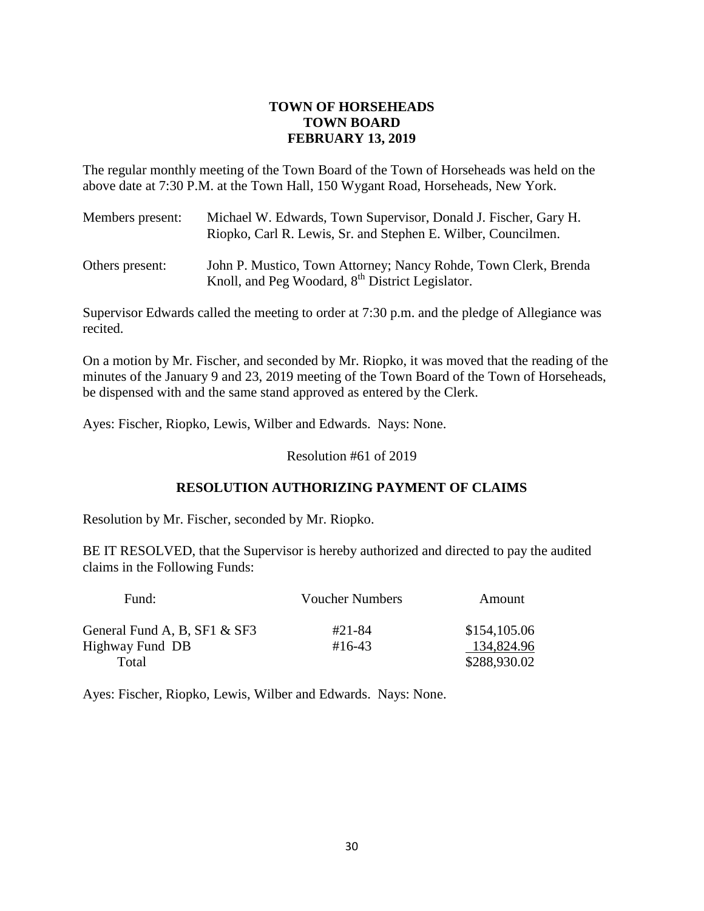# **TOWN OF HORSEHEADS TOWN BOARD FEBRUARY 13, 2019**

The regular monthly meeting of the Town Board of the Town of Horseheads was held on the above date at 7:30 P.M. at the Town Hall, 150 Wygant Road, Horseheads, New York.

| Members present: | Michael W. Edwards, Town Supervisor, Donald J. Fischer, Gary H.<br>Riopko, Carl R. Lewis, Sr. and Stephen E. Wilber, Councilmen. |
|------------------|----------------------------------------------------------------------------------------------------------------------------------|
| Others present:  | John P. Mustico, Town Attorney; Nancy Rohde, Town Clerk, Brenda<br>Knoll, and Peg Woodard, 8 <sup>th</sup> District Legislator.  |

Supervisor Edwards called the meeting to order at 7:30 p.m. and the pledge of Allegiance was recited.

On a motion by Mr. Fischer, and seconded by Mr. Riopko, it was moved that the reading of the minutes of the January 9 and 23, 2019 meeting of the Town Board of the Town of Horseheads, be dispensed with and the same stand approved as entered by the Clerk.

Ayes: Fischer, Riopko, Lewis, Wilber and Edwards. Nays: None.

Resolution #61 of 2019

# **RESOLUTION AUTHORIZING PAYMENT OF CLAIMS**

Resolution by Mr. Fischer, seconded by Mr. Riopko.

BE IT RESOLVED, that the Supervisor is hereby authorized and directed to pay the audited claims in the Following Funds:

| Fund:                        | Voucher Numbers | Amount       |
|------------------------------|-----------------|--------------|
| General Fund A, B, SF1 & SF3 | #21-84          | \$154,105.06 |
| Highway Fund DB              | $\#16 - 43$     | 134,824.96   |
| Total                        |                 | \$288,930.02 |

Ayes: Fischer, Riopko, Lewis, Wilber and Edwards. Nays: None.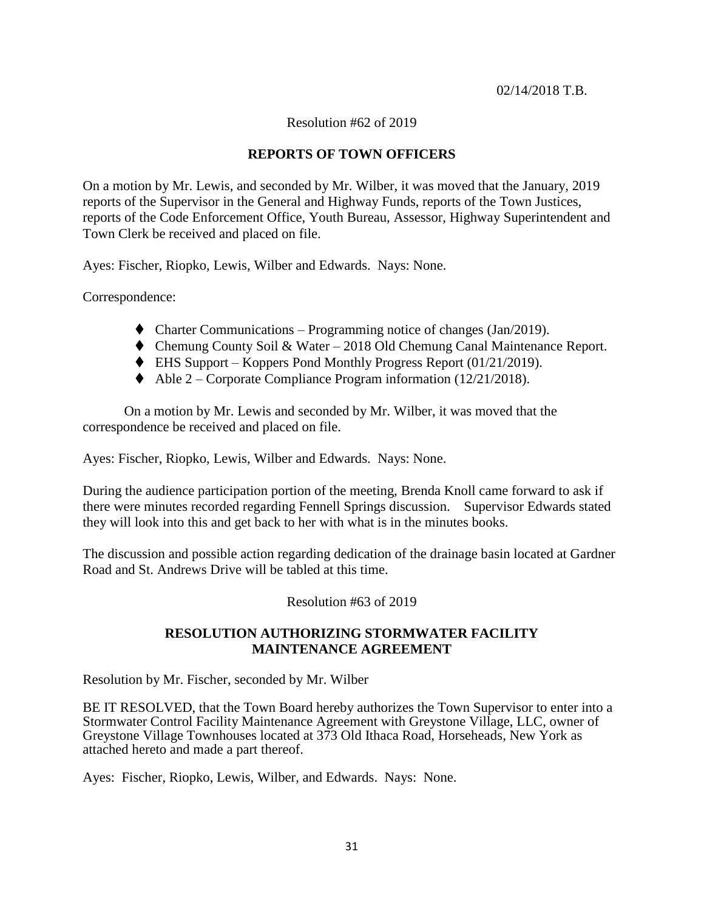#### 02/14/2018 T.B.

### Resolution #62 of 2019

## **REPORTS OF TOWN OFFICERS**

On a motion by Mr. Lewis, and seconded by Mr. Wilber, it was moved that the January, 2019 reports of the Supervisor in the General and Highway Funds, reports of the Town Justices, reports of the Code Enforcement Office, Youth Bureau, Assessor, Highway Superintendent and Town Clerk be received and placed on file.

Ayes: Fischer, Riopko, Lewis, Wilber and Edwards. Nays: None.

Correspondence:

- $\blacklozenge$  Charter Communications Programming notice of changes (Jan/2019).
- ◆ Chemung County Soil & Water 2018 Old Chemung Canal Maintenance Report.
- $\blacklozenge$  EHS Support Koppers Pond Monthly Progress Report (01/21/2019).
- $\blacklozenge$  Able 2 Corporate Compliance Program information (12/21/2018).

On a motion by Mr. Lewis and seconded by Mr. Wilber, it was moved that the correspondence be received and placed on file.

Ayes: Fischer, Riopko, Lewis, Wilber and Edwards. Nays: None.

During the audience participation portion of the meeting, Brenda Knoll came forward to ask if there were minutes recorded regarding Fennell Springs discussion. Supervisor Edwards stated they will look into this and get back to her with what is in the minutes books.

The discussion and possible action regarding dedication of the drainage basin located at Gardner Road and St. Andrews Drive will be tabled at this time.

Resolution #63 of 2019

### **RESOLUTION AUTHORIZING STORMWATER FACILITY MAINTENANCE AGREEMENT**

Resolution by Mr. Fischer, seconded by Mr. Wilber

BE IT RESOLVED, that the Town Board hereby authorizes the Town Supervisor to enter into a Stormwater Control Facility Maintenance Agreement with Greystone Village, LLC, owner of Greystone Village Townhouses located at 373 Old Ithaca Road, Horseheads, New York as attached hereto and made a part thereof.

Ayes: Fischer, Riopko, Lewis, Wilber, and Edwards. Nays: None.